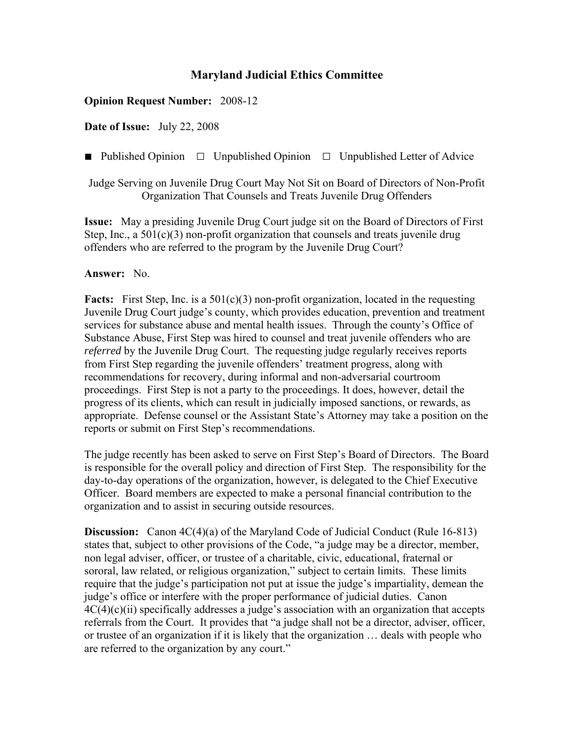## **Maryland Judicial Ethics Committee**

## **Opinion Request Number:** 2008-12

**Date of Issue:** July 22, 2008

**■** Published Opinion □Unpublished Opinion □Unpublished Letter of Advice

Judge Serving on Juvenile Drug Court May Not Sit on Board of Directors of Non-Profit Organization That Counsels and Treats Juvenile Drug Offenders

**Issue:** May a presiding Juvenile Drug Court judge sit on the Board of Directors of First Step, Inc., a  $501(c)(3)$  non-profit organization that counsels and treats juvenile drug offenders who are referred to the program by the Juvenile Drug Court?

## **Answer:** No.

**Facts:** First Step, Inc. is a 501(c)(3) non-profit organization, located in the requesting Juvenile Drug Court judge's county, which provides education, prevention and treatment services for substance abuse and mental health issues. Through the county's Office of Substance Abuse, First Step was hired to counsel and treat juvenile offenders who are *referred* by the Juvenile Drug Court. The requesting judge regularly receives reports from First Step regarding the juvenile offenders' treatment progress, along with recommendations for recovery, during informal and non-adversarial courtroom proceedings. First Step is not a party to the proceedings. It does, however, detail the progress of its clients, which can result in judicially imposed sanctions, or rewards, as appropriate. Defense counsel or the Assistant State's Attorney may take a position on the reports or submit on First Step's recommendations.

The judge recently has been asked to serve on First Step's Board of Directors. The Board is responsible for the overall policy and direction of First Step. The responsibility for the day-to-day operations of the organization, however, is delegated to the Chief Executive Officer. Board members are expected to make a personal financial contribution to the organization and to assist in securing outside resources.

**Discussion:** Canon 4C(4)(a) of the Maryland Code of Judicial Conduct (Rule 16-813) states that, subject to other provisions of the Code, "a judge may be a director, member, non legal adviser, officer, or trustee of a charitable, civic, educational, fraternal or sororal, law related, or religious organization," subject to certain limits. These limits require that the judge's participation not put at issue the judge's impartiality, demean the judge's office or interfere with the proper performance of judicial duties. Canon  $4C(4)(c)(ii)$  specifically addresses a judge's association with an organization that accepts referrals from the Court. It provides that "a judge shall not be a director, adviser, officer, or trustee of an organization if it is likely that the organization … deals with people who are referred to the organization by any court."